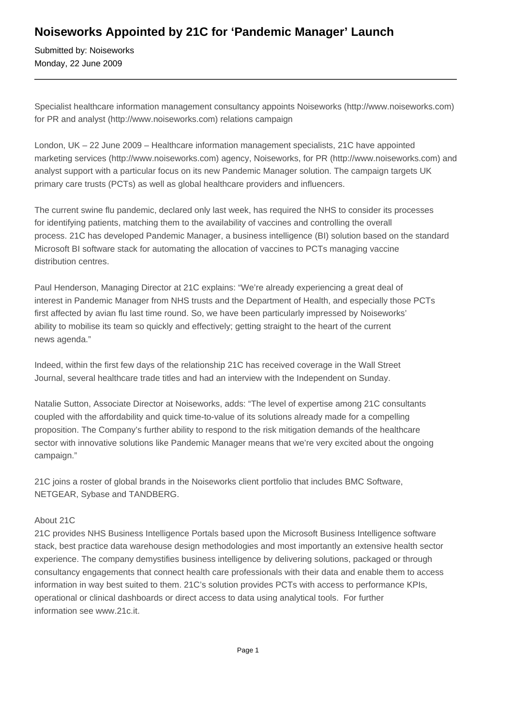## **Noiseworks Appointed by 21C for 'Pandemic Manager' Launch**

Submitted by: Noiseworks Monday, 22 June 2009

Specialist healthcare information management consultancy appoints Noiseworks (http://www.noiseworks.com) for PR and analyst (http://www.noiseworks.com) relations campaign

London, UK – 22 June 2009 – Healthcare information management specialists, 21C have appointed marketing services (http://www.noiseworks.com) agency, Noiseworks, for PR (http://www.noiseworks.com) and analyst support with a particular focus on its new Pandemic Manager solution. The campaign targets UK primary care trusts (PCTs) as well as global healthcare providers and influencers.

The current swine flu pandemic, declared only last week, has required the NHS to consider its processes for identifying patients, matching them to the availability of vaccines and controlling the overall process. 21C has developed Pandemic Manager, a business intelligence (BI) solution based on the standard Microsoft BI software stack for automating the allocation of vaccines to PCTs managing vaccine distribution centres.

Paul Henderson, Managing Director at 21C explains: "We're already experiencing a great deal of interest in Pandemic Manager from NHS trusts and the Department of Health, and especially those PCTs first affected by avian flu last time round. So, we have been particularly impressed by Noiseworks' ability to mobilise its team so quickly and effectively; getting straight to the heart of the current news agenda."

Indeed, within the first few days of the relationship 21C has received coverage in the Wall Street Journal, several healthcare trade titles and had an interview with the Independent on Sunday.

Natalie Sutton, Associate Director at Noiseworks, adds: "The level of expertise among 21C consultants coupled with the affordability and quick time-to-value of its solutions already made for a compelling proposition. The Company's further ability to respond to the risk mitigation demands of the healthcare sector with innovative solutions like Pandemic Manager means that we're very excited about the ongoing campaign."

21C joins a roster of global brands in the Noiseworks client portfolio that includes BMC Software, NETGEAR, Sybase and TANDBERG.

## About 21C

21C provides NHS Business Intelligence Portals based upon the Microsoft Business Intelligence software stack, best practice data warehouse design methodologies and most importantly an extensive health sector experience. The company demystifies business intelligence by delivering solutions, packaged or through consultancy engagements that connect health care professionals with their data and enable them to access information in way best suited to them. 21C's solution provides PCTs with access to performance KPIs, operational or clinical dashboards or direct access to data using analytical tools. For further information see www.21c.it.